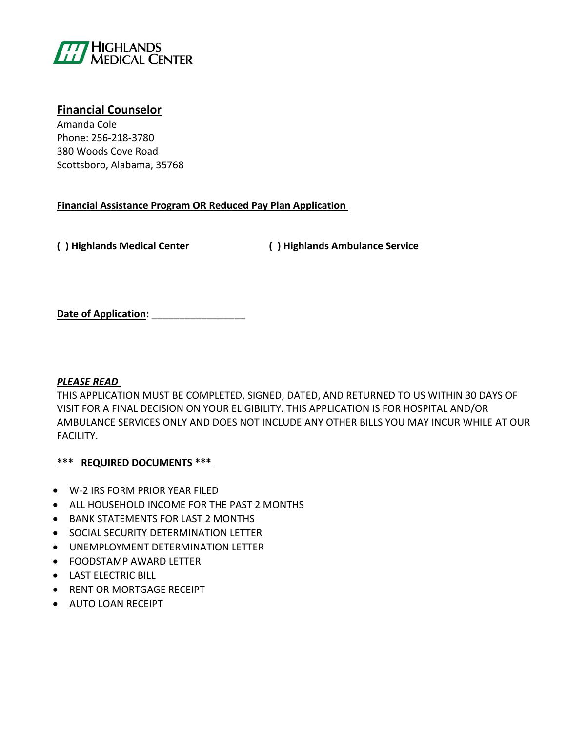

# **Financial Counselor**

Amanda Cole Phone: 256-218-3780 380 Woods Cove Road Scottsboro, Alabama, 35768

# **Financial Assistance Program OR Reduced Pay Plan Application**

**( ) Highlands Medical Center ( ) Highlands Ambulance Service**

**Date of Application:** \_\_\_\_\_\_\_\_\_\_\_\_\_\_\_\_\_

# *PLEASE READ*

THIS APPLICATION MUST BE COMPLETED, SIGNED, DATED, AND RETURNED TO US WITHIN 30 DAYS OF VISIT FOR A FINAL DECISION ON YOUR ELIGIBILITY. THIS APPLICATION IS FOR HOSPITAL AND/OR AMBULANCE SERVICES ONLY AND DOES NOT INCLUDE ANY OTHER BILLS YOU MAY INCUR WHILE AT OUR FACILITY.

# **\*\*\* REQUIRED DOCUMENTS \*\*\***

- W-2 IRS FORM PRIOR YEAR FILED
- ALL HOUSEHOLD INCOME FOR THE PAST 2 MONTHS
- BANK STATEMENTS FOR LAST 2 MONTHS
- **SOCIAL SECURITY DETERMINATION LETTER**
- UNEMPLOYMENT DETERMINATION LETTER
- FOODSTAMP AWARD LETTER
- **LAST ELECTRIC BILL**
- **RENT OR MORTGAGE RECEIPT**
- AUTO LOAN RECEIPT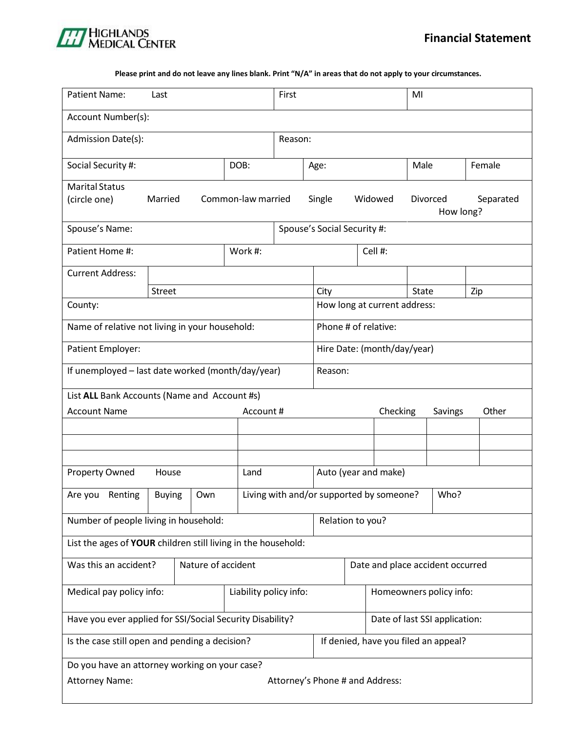### Please print and do not leave any lines blank. Print "N/A" in areas that do not apply to your circumstances.

| <b>Patient Name:</b>                                                   | Last                                                                     |  | First   |                                            |                                      | MI                           |                      |       |  |     |        |
|------------------------------------------------------------------------|--------------------------------------------------------------------------|--|---------|--------------------------------------------|--------------------------------------|------------------------------|----------------------|-------|--|-----|--------|
| Account Number(s):                                                     |                                                                          |  |         |                                            |                                      |                              |                      |       |  |     |        |
| Admission Date(s):                                                     |                                                                          |  |         | Reason:                                    |                                      |                              |                      |       |  |     |        |
| Social Security #:                                                     | DOB:                                                                     |  |         |                                            | Age:                                 |                              |                      | Male  |  |     | Female |
| <b>Marital Status</b><br>(circle one)<br>Common-law married<br>Married |                                                                          |  |         | Single<br>Widowed<br>Divorced<br>How long? |                                      |                              | Separated            |       |  |     |        |
| Spouse's Name:                                                         |                                                                          |  |         |                                            | Spouse's Social Security #:          |                              |                      |       |  |     |        |
| Patient Home #:                                                        |                                                                          |  | Work #: |                                            | Cell #:                              |                              |                      |       |  |     |        |
| <b>Current Address:</b>                                                |                                                                          |  |         |                                            |                                      |                              |                      |       |  |     |        |
|                                                                        | <b>Street</b>                                                            |  |         |                                            | City                                 |                              |                      | State |  | Zip |        |
| County:                                                                |                                                                          |  |         |                                            |                                      | How long at current address: |                      |       |  |     |        |
| Name of relative not living in your household:                         |                                                                          |  |         |                                            |                                      |                              | Phone # of relative: |       |  |     |        |
| Patient Employer:                                                      |                                                                          |  |         |                                            |                                      | Hire Date: (month/day/year)  |                      |       |  |     |        |
| If unemployed - last date worked (month/day/year)<br>Reason:           |                                                                          |  |         |                                            |                                      |                              |                      |       |  |     |        |
| List ALL Bank Accounts (Name and Account #s)                           |                                                                          |  |         |                                            |                                      |                              |                      |       |  |     |        |
| <b>Account Name</b><br>Checking<br>Account#<br>Savings                 |                                                                          |  |         | Other                                      |                                      |                              |                      |       |  |     |        |
|                                                                        |                                                                          |  |         |                                            |                                      |                              |                      |       |  |     |        |
|                                                                        |                                                                          |  |         |                                            |                                      |                              |                      |       |  |     |        |
| <b>Property Owned</b><br>House<br>Land                                 |                                                                          |  |         | Auto (year and make)                       |                                      |                              |                      |       |  |     |        |
| Renting<br>Are you                                                     | Living with and/or supported by someone?<br>Who?<br><b>Buying</b><br>Own |  |         |                                            |                                      |                              |                      |       |  |     |        |
| Number of people living in household:<br>Relation to you?              |                                                                          |  |         |                                            |                                      |                              |                      |       |  |     |        |
| List the ages of YOUR children still living in the household:          |                                                                          |  |         |                                            |                                      |                              |                      |       |  |     |        |
| Was this an accident?<br>Nature of accident                            |                                                                          |  |         | Date and place accident occurred           |                                      |                              |                      |       |  |     |        |
| Medical pay policy info:<br>Liability policy info:                     |                                                                          |  |         |                                            |                                      | Homeowners policy info:      |                      |       |  |     |        |
| Have you ever applied for SSI/Social Security Disability?              |                                                                          |  |         |                                            | Date of last SSI application:        |                              |                      |       |  |     |        |
| Is the case still open and pending a decision?                         |                                                                          |  |         |                                            | If denied, have you filed an appeal? |                              |                      |       |  |     |        |
| Do you have an attorney working on your case?                          |                                                                          |  |         |                                            |                                      |                              |                      |       |  |     |        |
| Attorney's Phone # and Address:<br><b>Attorney Name:</b>               |                                                                          |  |         |                                            |                                      |                              |                      |       |  |     |        |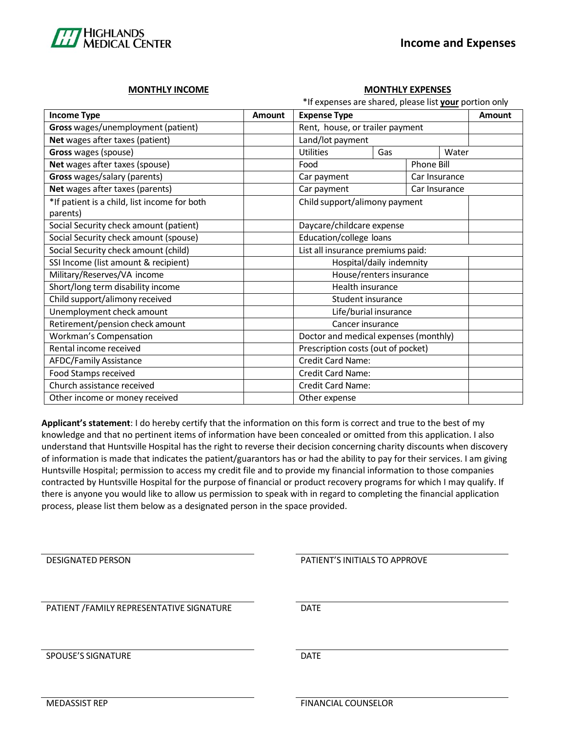

### **MONTHLY INCOME MONTHLY EXPENSES**

| *If expenses are shared, please list your portion only |        |                                       |                         |       |  |               |
|--------------------------------------------------------|--------|---------------------------------------|-------------------------|-------|--|---------------|
| <b>Income Type</b>                                     | Amount | <b>Expense Type</b>                   |                         |       |  | <b>Amount</b> |
| Gross wages/unemployment (patient)                     |        | Rent, house, or trailer payment       |                         |       |  |               |
| Net wages after taxes (patient)                        |        | Land/lot payment                      |                         |       |  |               |
| Gross wages (spouse)                                   |        | <b>Utilities</b><br>Gas               |                         | Water |  |               |
| Net wages after taxes (spouse)                         |        | Phone Bill<br>Food                    |                         |       |  |               |
| Gross wages/salary (parents)                           |        | Car payment<br>Car Insurance          |                         |       |  |               |
| Net wages after taxes (parents)                        |        | Car payment<br>Car Insurance          |                         |       |  |               |
| *If patient is a child, list income for both           |        | Child support/alimony payment         |                         |       |  |               |
| parents)                                               |        |                                       |                         |       |  |               |
| Social Security check amount (patient)                 |        | Daycare/childcare expense             |                         |       |  |               |
| Social Security check amount (spouse)                  |        | Education/college loans               |                         |       |  |               |
| Social Security check amount (child)                   |        | List all insurance premiums paid:     |                         |       |  |               |
| SSI Income (list amount & recipient)                   |        | Hospital/daily indemnity              |                         |       |  |               |
| Military/Reserves/VA income                            |        |                                       | House/renters insurance |       |  |               |
| Short/long term disability income                      |        | Health insurance                      |                         |       |  |               |
| Child support/alimony received                         |        | Student insurance                     |                         |       |  |               |
| Unemployment check amount                              |        | Life/burial insurance                 |                         |       |  |               |
| Retirement/pension check amount                        |        | Cancer insurance                      |                         |       |  |               |
| <b>Workman's Compensation</b>                          |        | Doctor and medical expenses (monthly) |                         |       |  |               |
| Rental income received                                 |        | Prescription costs (out of pocket)    |                         |       |  |               |
| <b>AFDC/Family Assistance</b>                          |        | Credit Card Name:                     |                         |       |  |               |
| Food Stamps received                                   |        | Credit Card Name:                     |                         |       |  |               |
| Church assistance received                             |        | <b>Credit Card Name:</b>              |                         |       |  |               |
| Other income or money received                         |        | Other expense                         |                         |       |  |               |

**Applicant's statement**: I do hereby certify that the information on this form is correct and true to the best of my knowledge and that no pertinent items of information have been concealed or omitted from this application. I also understand that Huntsville Hospital has the right to reverse their decision concerning charity discounts when discovery of information is made that indicates the patient/guarantors has or had the ability to pay for their services. I am giving Huntsville Hospital; permission to access my credit file and to provide my financial information to those companies contracted by Huntsville Hospital for the purpose of financial or product recovery programs for which I may qualify. If there is anyone you would like to allow us permission to speak with in regard to completing the financial application process, please list them below as a designated person in the space provided.

| <b>DESIGNATED PERSON</b>                  | PATIENT'S INITIALS TO APPROVE |
|-------------------------------------------|-------------------------------|
| PATIENT / FAMILY REPRESENTATIVE SIGNATURE | DATE                          |
| <b>SPOUSE'S SIGNATURE</b>                 | <b>DATE</b>                   |

MEDASSIST REP FINANCIAL COUNSELOR